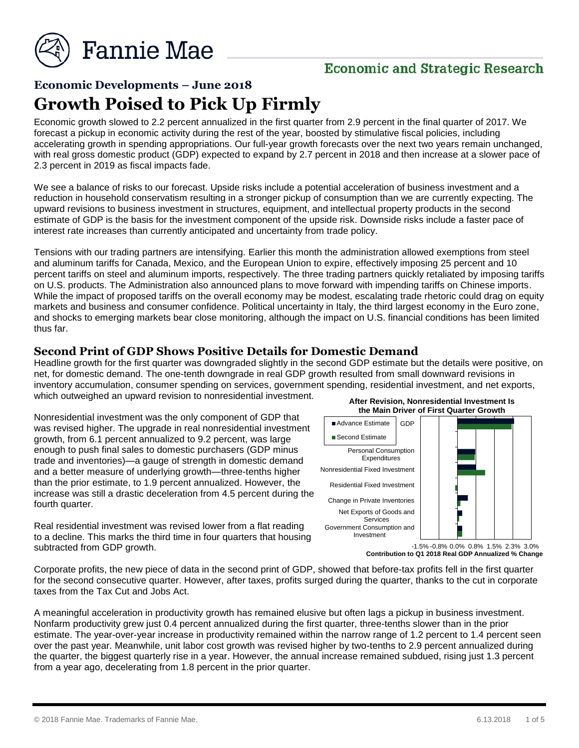

## **Economic and Strategic Research**

# **Economic Developments – June 2018 Growth Poised to Pick Up Firmly**

Economic growth slowed to 2.2 percent annualized in the first quarter from 2.9 percent in the final quarter of 2017. We forecast a pickup in economic activity during the rest of the year, boosted by stimulative fiscal policies, including accelerating growth in spending appropriations. Our full-year growth forecasts over the next two years remain unchanged, with real gross domestic product (GDP) expected to expand by 2.7 percent in 2018 and then increase at a slower pace of 2.3 percent in 2019 as fiscal impacts fade.

We see a balance of risks to our forecast. Upside risks include a potential acceleration of business investment and a reduction in household conservatism resulting in a stronger pickup of consumption than we are currently expecting. The upward revisions to business investment in structures, equipment, and intellectual property products in the second estimate of GDP is the basis for the investment component of the upside risk. Downside risks include a faster pace of interest rate increases than currently anticipated and uncertainty from trade policy.

Tensions with our trading partners are intensifying. Earlier this month the administration allowed exemptions from steel and aluminum tariffs for Canada, Mexico, and the European Union to expire, effectively imposing 25 percent and 10 percent tariffs on steel and aluminum imports, respectively. The three trading partners quickly retaliated by imposing tariffs on U.S. products. The Administration also announced plans to move forward with impending tariffs on Chinese imports. While the impact of proposed tariffs on the overall economy may be modest, escalating trade rhetoric could drag on equity markets and business and consumer confidence. Political uncertainty in Italy, the third largest economy in the Euro zone, and shocks to emerging markets bear close monitoring, although the impact on U.S. financial conditions has been limited thus far.

#### **Second Print of GDP Shows Positive Details for Domestic Demand**

Headline growth for the first quarter was downgraded slightly in the second GDP estimate but the details were positive, on net, for domestic demand. The one-tenth downgrade in real GDP growth resulted from small downward revisions in inventory accumulation, consumer spending on services, government spending, residential investment, and net exports, which outweighed an upward revision to nonresidential investment. **After Revision, Nonresidential Investment Is** 

Nonresidential investment was the only component of GDP that was revised higher. The upgrade in real nonresidential investment growth, from 6.1 percent annualized to 9.2 percent, was large enough to push final sales to domestic purchasers (GDP minus trade and inventories)—a gauge of strength in domestic demand and a better measure of underlying growth—three-tenths higher than the prior estimate, to 1.9 percent annualized. However, the increase was still a drastic deceleration from 4.5 percent during the fourth quarter.

Real residential investment was revised lower from a flat reading to a decline. This marks the third time in four quarters that housing subtracted from GDP growth.



**Contribution to Q1 2018 Real GDP Annualized % Change**

Corporate profits, the new piece of data in the second print of GDP, showed that before-tax profits fell in the first quarter for the second consecutive quarter. However, after taxes, profits surged during the quarter, thanks to the cut in corporate taxes from the Tax Cut and Jobs Act.

A meaningful acceleration in productivity growth has remained elusive but often lags a pickup in business investment. Nonfarm productivity grew just 0.4 percent annualized during the first quarter, three-tenths slower than in the prior estimate. The year-over-year increase in productivity remained within the narrow range of 1.2 percent to 1.4 percent seen over the past year. Meanwhile, unit labor cost growth was revised higher by two-tenths to 2.9 percent annualized during the quarter, the biggest quarterly rise in a year. However, the annual increase remained subdued, rising just 1.3 percent from a year ago, decelerating from 1.8 percent in the prior quarter.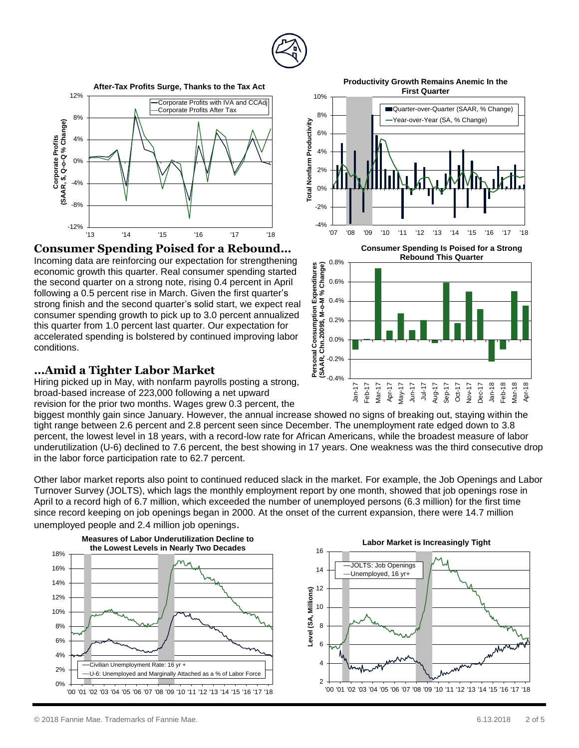

10%



#### **Consumer Spending Poised for a Rebound…**

Incoming data are reinforcing our expectation for strengthening economic growth this quarter. Real consumer spending started the second quarter on a strong note, rising 0.4 percent in April following a 0.5 percent rise in March. Given the first quarter's strong finish and the second quarter's solid start, we expect real consumer spending growth to pick up to 3.0 percent annualized this quarter from 1.0 percent last quarter. Our expectation for accelerated spending is bolstered by continued improving labor conditions.

#### **…Amid a Tighter Labor Market**

Hiring picked up in May, with nonfarm payrolls posting a strong, broad-based increase of 223,000 following a net upward revision for the prior two months. Wages grew 0.3 percent, the

biggest monthly gain since January. However, the annual increase showed no signs of breaking out, staying within the tight range between 2.6 percent and 2.8 percent seen since December. The unemployment rate edged down to 3.8 percent, the lowest level in 18 years, with a record-low rate for African Americans, while the broadest measure of labor underutilization (U-6) declined to 7.6 percent, the best showing in 17 years. One weakness was the third consecutive drop in the labor force participation rate to 62.7 percent.

Other labor market reports also point to continued reduced slack in the market. For example, the Job Openings and Labor Turnover Survey (JOLTS), which lags the monthly employment report by one month, showed that job openings rose in April to a record high of 6.7 million, which exceeded the number of unemployed persons (6.3 million) for the first time since record keeping on job openings began in 2000. At the onset of the current expansion, there were 14.7 million unemployed people and 2.4 million job openings.



**Productivity Growth Remains Anemic In the First Quarter**

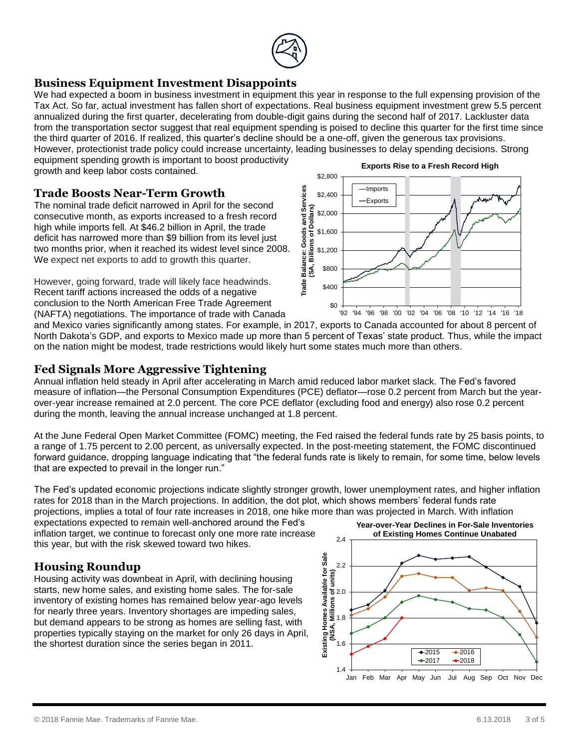

### **Business Equipment Investment Disappoints**

We had expected a boom in business investment in equipment this year in response to the full expensing provision of the Tax Act. So far, actual investment has fallen short of expectations. Real business equipment investment grew 5.5 percent annualized during the first quarter, decelerating from double-digit gains during the second half of 2017. Lackluster data from the transportation sector suggest that real equipment spending is poised to decline this quarter for the first time since the third quarter of 2016. If realized, this quarter's decline should be a one-off, given the generous tax provisions. However, protectionist trade policy could increase uncertainty, leading businesses to delay spending decisions. Strong

equipment spending growth is important to boost productivity growth and keep labor costs contained.

#### **Trade Boosts Near-Term Growth**

The nominal trade deficit narrowed in April for the second consecutive month, as exports increased to a fresh record high while imports fell. At \$46.2 billion in April, the trade deficit has narrowed more than \$9 billion from its level just two months prior, when it reached its widest level since 2008. We expect net exports to add to growth this quarter.

However, going forward, trade will likely face headwinds. Recent tariff actions increased the odds of a negative conclusion to the North American Free Trade Agreement (NAFTA) negotiations. The importance of trade with Canada



and Mexico varies significantly among states. For example, in 2017, exports to Canada accounted for about 8 percent of North Dakota's GDP, and exports to Mexico made up more than 5 percent of Texas' state product. Thus, while the impact on the nation might be modest, trade restrictions would likely hurt some states much more than others.

#### **Fed Signals More Aggressive Tightening**

Annual inflation held steady in April after accelerating in March amid reduced labor market slack. The Fed's favored measure of inflation—the Personal Consumption Expenditures (PCE) deflator—rose 0.2 percent from March but the yearover-year increase remained at 2.0 percent. The core PCE deflator (excluding food and energy) also rose 0.2 percent during the month, leaving the annual increase unchanged at 1.8 percent.

At the June Federal Open Market Committee (FOMC) meeting, the Fed raised the federal funds rate by 25 basis points, to a range of 1.75 percent to 2.00 percent, as universally expected. In the post-meeting statement, the FOMC discontinued forward guidance, dropping language indicating that "the federal funds rate is likely to remain, for some time, below levels that are expected to prevail in the longer run."

The Fed's updated economic projections indicate slightly stronger growth, lower unemployment rates, and higher inflation rates for 2018 than in the March projections. In addition, the dot plot, which shows members' federal funds rate projections, implies a total of four rate increases in 2018, one hike more than was projected in March. With inflation

expectations expected to remain well-anchored around the Fed's inflation target, we continue to forecast only one more rate increase this year, but with the risk skewed toward two hikes.

### **Housing Roundup**

Housing activity was downbeat in April, with declining housing starts, new home sales, and existing home sales. The for-sale inventory of existing homes has remained below year-ago levels for nearly three years. Inventory shortages are impeding sales, but demand appears to be strong as homes are selling fast, with properties typically staying on the market for only 26 days in April, the shortest duration since the series began in 2011.

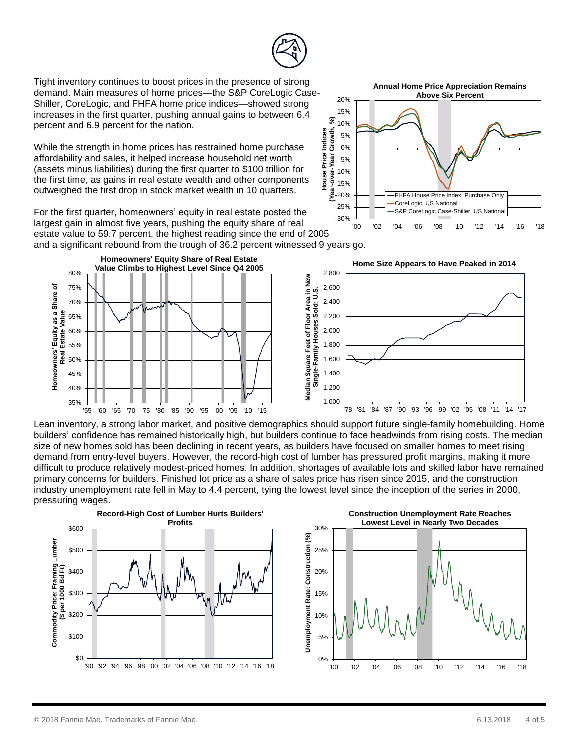35% 40% 45% 50% 55% 60% 65% 70% 75% 80%

**Homeowners' Equity as a Share of Real Estate Value**



Tight inventory continues to boost prices in the presence of strong demand. Main measures of home prices—the S&P CoreLogic Case-Shiller, CoreLogic, and FHFA home price indices—showed strong increases in the first quarter, pushing annual gains to between 6.4 percent and 6.9 percent for the nation.

While the strength in home prices has restrained home purchase affordability and sales, it helped increase household net worth (assets minus liabilities) during the first quarter to \$100 trillion for the first time, as gains in real estate wealth and other components outweighed the first drop in stock market wealth in 10 quarters.

For the first quarter, homeowners' equity in real estate posted the largest gain in almost five years, pushing the equity share of real

**Value Climbs to Highest Level Since Q4 2005**

'55 '60 '65 '70 '75 '80 '85 '90 '95 '00 '05 '10 '15

estate value to 59.7 percent, the highest reading since the end of 2005 and a significant rebound from the trough of 36.2 percent witnessed 9 years go. **Homeowners' Equity Share of Real Estate Home Size Appears to Have Peaked in 2014**

Lean inventory, a strong labor market, and positive demographics should support future single-family homebuilding. Home builders' confidence has remained historically high, but builders continue to face headwinds from rising costs. The median size of new homes sold has been declining in recent years, as builders have focused on smaller homes to meet rising demand from entry-level buyers. However, the record-high cost of lumber has pressured profit margins, making it more difficult to produce relatively modest-priced homes. In addition, shortages of available lots and skilled labor have remained primary concerns for builders. Finished lot price as a share of sales price has risen since 2015, and the construction industry unemployment rate fell in May to 4.4 percent, tying the lowest level since the inception of the series in 2000, pressuring wages.

 $1,000$   $-78$ 

1,200 1,400 1,600 1,800 2,000 2,200 2,400 2,600 2,800

0%

Unemployment Rate: Construction (%)





'00 '02 '04 '06 '08 '10 '12 '14 '16 '18



XXXVI<br>
2.800<br>
The Contract of Contract of Contract of Contract of Contract of Contract of Contract of Contract of Texas 2.200<br>
The Contract of Texas 2.000<br>
The Contract of Texas 2.000<br>
The Contract of Texas in New Single-F